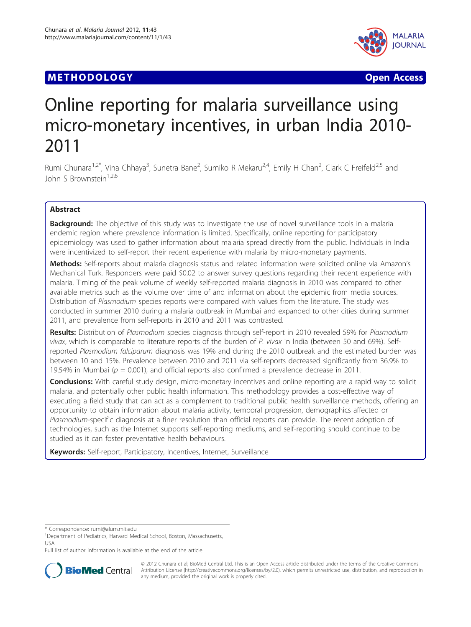# **METHODOLOGY Open Access**



# Online reporting for malaria surveillance using micro-monetary incentives, in urban India 2010- 2011

Rumi Chunara<sup>1,2\*</sup>, Vina Chhaya<sup>3</sup>, Sunetra Bane<sup>2</sup>, Sumiko R Mekaru<sup>2,4</sup>, Emily H Chan<sup>2</sup>, Clark C Freifeld<sup>2,5</sup> and John S Brownstein<sup>1,2,6</sup>

# Abstract

**Background:** The objective of this study was to investigate the use of novel surveillance tools in a malaria endemic region where prevalence information is limited. Specifically, online reporting for participatory epidemiology was used to gather information about malaria spread directly from the public. Individuals in India were incentivized to self-report their recent experience with malaria by micro-monetary payments.

Methods: Self-reports about malaria diagnosis status and related information were solicited online via Amazon's Mechanical Turk. Responders were paid \$0.02 to answer survey questions regarding their recent experience with malaria. Timing of the peak volume of weekly self-reported malaria diagnosis in 2010 was compared to other available metrics such as the volume over time of and information about the epidemic from media sources. Distribution of Plasmodium species reports were compared with values from the literature. The study was conducted in summer 2010 during a malaria outbreak in Mumbai and expanded to other cities during summer 2011, and prevalence from self-reports in 2010 and 2011 was contrasted.

Results: Distribution of Plasmodium species diagnosis through self-report in 2010 revealed 59% for Plasmodium vivax, which is comparable to literature reports of the burden of P. vivax in India (between 50 and 69%). Selfreported Plasmodium falciparum diagnosis was 19% and during the 2010 outbreak and the estimated burden was between 10 and 15%. Prevalence between 2010 and 2011 via self-reports decreased significantly from 36.9% to 19.54% in Mumbai ( $p = 0.001$ ), and official reports also confirmed a prevalence decrease in 2011.

Conclusions: With careful study design, micro-monetary incentives and online reporting are a rapid way to solicit malaria, and potentially other public health information. This methodology provides a cost-effective way of executing a field study that can act as a complement to traditional public health surveillance methods, offering an opportunity to obtain information about malaria activity, temporal progression, demographics affected or Plasmodium-specific diagnosis at a finer resolution than official reports can provide. The recent adoption of technologies, such as the Internet supports self-reporting mediums, and self-reporting should continue to be studied as it can foster preventative health behaviours.

Keywords: Self-report, Participatory, Incentives, Internet, Surveillance

\* Correspondence: [rumi@alum.mit.edu](mailto:rumi@alum.mit.edu)

Full list of author information is available at the end of the article



© 2012 Chunara et al; BioMed Central Ltd. This is an Open Access article distributed under the terms of the Creative Commons Attribution License [\(http://creativecommons.org/licenses/by/2.0](http://creativecommons.org/licenses/by/2.0)), which permits unrestricted use, distribution, and reproduction in any medium, provided the original work is properly cited.

<sup>&</sup>lt;sup>1</sup>Department of Pediatrics, Harvard Medical School, Boston, Massachusetts, USA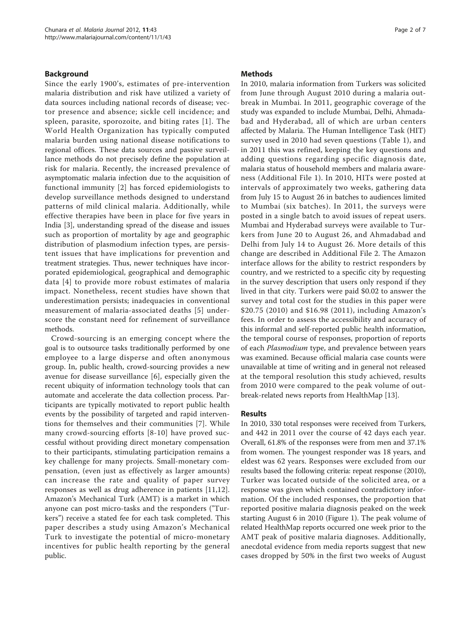# Background

Since the early 1900's, estimates of pre-intervention malaria distribution and risk have utilized a variety of data sources including national records of disease; vector presence and absence; sickle cell incidence; and spleen, parasite, sporozoite, and biting rates [[1](#page-6-0)]. The World Health Organization has typically computed malaria burden using national disease notifications to regional offices. These data sources and passive surveillance methods do not precisely define the population at risk for malaria. Recently, the increased prevalence of asymptomatic malaria infection due to the acquisition of functional immunity [[2](#page-6-0)] has forced epidemiologists to develop surveillance methods designed to understand patterns of mild clinical malaria. Additionally, while effective therapies have been in place for five years in India [[3\]](#page-6-0), understanding spread of the disease and issues such as proportion of mortality by age and geographic distribution of plasmodium infection types, are persistent issues that have implications for prevention and treatment strategies. Thus, newer techniques have incorporated epidemiological, geographical and demographic data [[4\]](#page-6-0) to provide more robust estimates of malaria impact. Nonetheless, recent studies have shown that underestimation persists; inadequacies in conventional measurement of malaria-associated deaths [[5\]](#page-6-0) underscore the constant need for refinement of surveillance methods.

Crowd-sourcing is an emerging concept where the goal is to outsource tasks traditionally performed by one employee to a large disperse and often anonymous group. In, public health, crowd-sourcing provides a new avenue for disease surveillance [\[6](#page-6-0)], especially given the recent ubiquity of information technology tools that can automate and accelerate the data collection process. Participants are typically motivated to report public health events by the possibility of targeted and rapid interventions for themselves and their communities [[7\]](#page-6-0). While many crowd-sourcing efforts [[8-10](#page-6-0)] have proved successful without providing direct monetary compensation to their participants, stimulating participation remains a key challenge for many projects. Small-monetary compensation, (even just as effectively as larger amounts) can increase the rate and quality of paper survey responses as well as drug adherence in patients [[11,12](#page-6-0)]. Amazon's Mechanical Turk (AMT) is a market in which anyone can post micro-tasks and the responders ("Turkers") receive a stated fee for each task completed. This paper describes a study using Amazon's Mechanical Turk to investigate the potential of micro-monetary incentives for public health reporting by the general public.

### Methods

In 2010, malaria information from Turkers was solicited from June through August 2010 during a malaria outbreak in Mumbai. In 2011, geographic coverage of the study was expanded to include Mumbai, Delhi, Ahmadabad and Hyderabad, all of which are urban centers affected by Malaria. The Human Intelligence Task (HIT) survey used in 2010 had seven questions (Table [1\)](#page-2-0), and in 2011 this was refined, keeping the key questions and adding questions regarding specific diagnosis date, malaria status of household members and malaria awareness (Additional File [1\)](#page-6-0). In 2010, HITs were posted at intervals of approximately two weeks, gathering data from July 15 to August 26 in batches to audiences limited to Mumbai (six batches). In 2011, the surveys were posted in a single batch to avoid issues of repeat users. Mumbai and Hyderabad surveys were available to Turkers from June 20 to August 26, and Ahmadabad and Delhi from July 14 to August 26. More details of this change are described in Additional File [2.](#page-6-0) The Amazon interface allows for the ability to restrict responders by country, and we restricted to a specific city by requesting in the survey description that users only respond if they lived in that city. Turkers were paid \$0.02 to answer the survey and total cost for the studies in this paper were \$20.75 (2010) and \$16.98 (2011), including Amazon's fees. In order to assess the accessibility and accuracy of this informal and self-reported public health information, the temporal course of responses, proportion of reports of each Plasmodium type, and prevalence between years was examined. Because official malaria case counts were unavailable at time of writing and in general not released at the temporal resolution this study achieved, results from 2010 were compared to the peak volume of outbreak-related news reports from HealthMap [[13\]](#page-6-0).

# Results

In 2010, 330 total responses were received from Turkers, and 442 in 2011 over the course of 42 days each year. Overall, 61.8% of the responses were from men and 37.1% from women. The youngest responder was 18 years, and eldest was 62 years. Responses were excluded from our results based the following criteria: repeat response (2010), Turker was located outside of the solicited area, or a response was given which contained contradictory information. Of the included responses, the proportion that reported positive malaria diagnosis peaked on the week starting August 6 in 2010 (Figure [1\)](#page-3-0). The peak volume of related HealthMap reports occurred one week prior to the AMT peak of positive malaria diagnoses. Additionally, anecdotal evidence from media reports suggest that new cases dropped by 50% in the first two weeks of August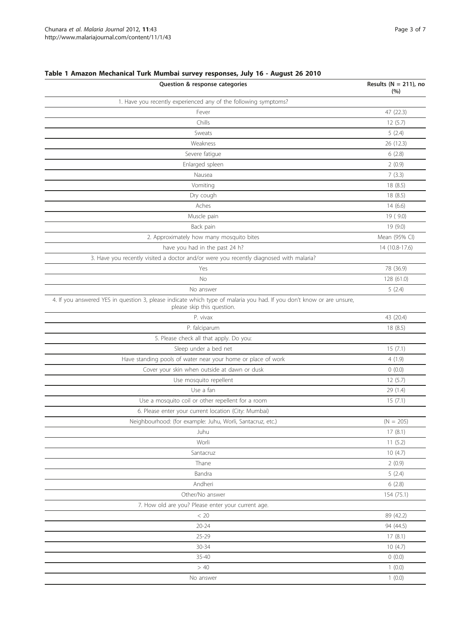| Question & response categories                                                                                                                      | Results ( $N = 211$ ), no<br>(%) |
|-----------------------------------------------------------------------------------------------------------------------------------------------------|----------------------------------|
| 1. Have you recently experienced any of the following symptoms?                                                                                     |                                  |
| Fever                                                                                                                                               | 47 (22.3)                        |
| Chills                                                                                                                                              | 12(5.7)                          |
| Sweats                                                                                                                                              | 5(2.4)                           |
| Weakness                                                                                                                                            | 26 (12.3)                        |
| Severe fatigue                                                                                                                                      | 6(2.8)                           |
| Enlarged spleen                                                                                                                                     | 2(0.9)                           |
| Nausea                                                                                                                                              | 7(3.3)                           |
| Vomiting                                                                                                                                            | 18(8.5)                          |
| Dry cough                                                                                                                                           | 18(8.5)                          |
| Aches                                                                                                                                               | 14(6.6)                          |
| Muscle pain                                                                                                                                         | 19 (9.0)                         |
| Back pain                                                                                                                                           | 19 (9.0)                         |
| 2. Approximately how many mosquito bites                                                                                                            | Mean (95% CI)                    |
| have you had in the past 24 h?                                                                                                                      | 14 (10.8-17.6)                   |
| 3. Have you recently visited a doctor and/or were you recently diagnosed with malaria?                                                              |                                  |
| Yes                                                                                                                                                 | 78 (36.9)                        |
| No                                                                                                                                                  | 128 (61.0)                       |
| No answer                                                                                                                                           | 5(2.4)                           |
| 4. If you answered YES in question 3, please indicate which type of malaria you had. If you don't know or are unsure,<br>please skip this question. |                                  |
| P. vivax                                                                                                                                            | 43 (20.4)                        |
| P. falciparum                                                                                                                                       | 18(8.5)                          |
| 5. Please check all that apply. Do you:                                                                                                             |                                  |
| Sleep under a bed net                                                                                                                               | 15(7.1)                          |
| Have standing pools of water near your home or place of work                                                                                        | 4(1.9)                           |
| Cover your skin when outside at dawn or dusk                                                                                                        | 0(0.0)                           |
| Use mosquito repellent                                                                                                                              | 12(5.7)                          |
| Use a fan                                                                                                                                           | 29 (1.4)                         |
| Use a mosquito coil or other repellent for a room                                                                                                   | 15(7.1)                          |
| 6. Please enter your current location (City: Mumbai)                                                                                                |                                  |
| Neighbourhood: (for example: Juhu, Worli, Santacruz, etc.)                                                                                          | $(N = 205)$                      |
| Juhu                                                                                                                                                | 17(8.1)                          |
| Worli                                                                                                                                               | 11(5.2)                          |
| Santacruz                                                                                                                                           | 10(4.7)                          |
| Thane                                                                                                                                               | 2(0.9)                           |
| Bandra                                                                                                                                              | 5(2.4)                           |
| Andheri                                                                                                                                             | 6(2.8)                           |
| Other/No answer                                                                                                                                     | 154 (75.1)                       |
| 7. How old are you? Please enter your current age.                                                                                                  |                                  |
| < 20                                                                                                                                                | 89 (42.2)                        |
| $20 - 24$                                                                                                                                           | 94 (44.5)                        |
| 25-29                                                                                                                                               | 17(8.1)                          |
| $30 - 34$                                                                                                                                           | 10(4.7)                          |
| 35-40                                                                                                                                               | 0(0.0)                           |
| > 40                                                                                                                                                | 1(0.0)                           |
| No answer                                                                                                                                           | 1(0.0)                           |
|                                                                                                                                                     |                                  |

# <span id="page-2-0"></span>Table 1 Amazon Mechanical Turk Mumbai survey responses, July 16 - August 26 2010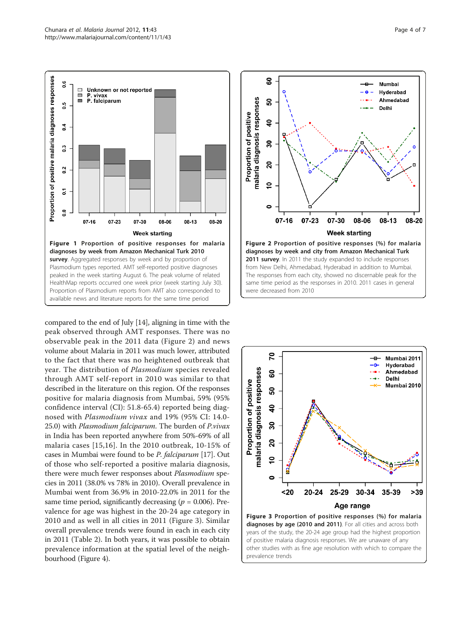<span id="page-3-0"></span>

compared to the end of July [\[14](#page-6-0)], aligning in time with the peak observed through AMT responses. There was no observable peak in the 2011 data (Figure 2) and news volume about Malaria in 2011 was much lower, attributed to the fact that there was no heightened outbreak that year. The distribution of Plasmodium species revealed through AMT self-report in 2010 was similar to that described in the literature on this region. Of the responses positive for malaria diagnosis from Mumbai, 59% (95% confidence interval (CI): 51.8-65.4) reported being diagnosed with Plasmodium vivax and 19% (95% CI: 14.0- 25.0) with Plasmodium falciparum. The burden of P.vivax in India has been reported anywhere from 50%-69% of all malaria cases [[15](#page-6-0),[16\]](#page-6-0). In the 2010 outbreak, 10-15% of cases in Mumbai were found to be P. falciparum [\[17\]](#page-6-0). Out of those who self-reported a positive malaria diagnosis, there were much fewer responses about Plasmodium species in 2011 (38.0% vs 78% in 2010). Overall prevalence in Mumbai went from 36.9% in 2010-22.0% in 2011 for the same time period, significantly decreasing ( $p = 0.006$ ). Prevalence for age was highest in the 20-24 age category in 2010 and as well in all cities in 2011 (Figure 3). Similar overall prevalence trends were found in each in each city in 2011 (Table [2](#page-4-0)). In both years, it was possible to obtain prevalence information at the spatial level of the neighbourhood (Figure [4](#page-4-0)).



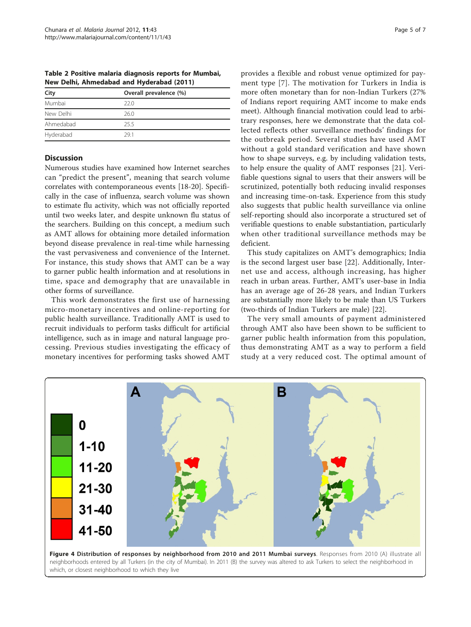<span id="page-4-0"></span>Table 2 Positive malaria diagnosis reports for Mumbai, New Delhi, Ahmedabad and Hyderabad (2011)

| City      | Overall prevalence (%) |
|-----------|------------------------|
| Mumbai    | 22.0                   |
| New Delhi | 26.0                   |
| Ahmedabad | 255                    |
| Hyderabad | 291                    |

# **Discussion**

Numerous studies have examined how Internet searches can "predict the present", meaning that search volume correlates with contemporaneous events [\[18](#page-6-0)-[20\]](#page-6-0). Specifically in the case of influenza, search volume was shown to estimate flu activity, which was not officially reported until two weeks later, and despite unknown flu status of the searchers. Building on this concept, a medium such as AMT allows for obtaining more detailed information beyond disease prevalence in real-time while harnessing the vast pervasiveness and convenience of the Internet. For instance, this study shows that AMT can be a way to garner public health information and at resolutions in time, space and demography that are unavailable in other forms of surveillance.

This work demonstrates the first use of harnessing micro-monetary incentives and online-reporting for public health surveillance. Traditionally AMT is used to recruit individuals to perform tasks difficult for artificial intelligence, such as in image and natural language processing. Previous studies investigating the efficacy of monetary incentives for performing tasks showed AMT

provides a flexible and robust venue optimized for payment type [[7\]](#page-6-0). The motivation for Turkers in India is more often monetary than for non-Indian Turkers (27% of Indians report requiring AMT income to make ends meet). Although financial motivation could lead to arbitrary responses, here we demonstrate that the data collected reflects other surveillance methods' findings for the outbreak period. Several studies have used AMT without a gold standard verification and have shown how to shape surveys, e.g. by including validation tests, to help ensure the quality of AMT responses [[21\]](#page-6-0). Verifiable questions signal to users that their answers will be scrutinized, potentially both reducing invalid responses and increasing time-on-task. Experience from this study also suggests that public health surveillance via online self-reporting should also incorporate a structured set of verifiable questions to enable substantiation, particularly when other traditional surveillance methods may be deficient.

This study capitalizes on AMT's demographics; India is the second largest user base [\[22](#page-6-0)]. Additionally, Internet use and access, although increasing, has higher reach in urban areas. Further, AMT's user-base in India has an average age of 26-28 years, and Indian Turkers are substantially more likely to be male than US Turkers (two-thirds of Indian Turkers are male) [[22\]](#page-6-0).

The very small amounts of payment administered through AMT also have been shown to be sufficient to garner public health information from this population, thus demonstrating AMT as a way to perform a field study at a very reduced cost. The optimal amount of



Figure 4 Distribution of responses by neighborhood from 2010 and 2011 Mumbai surveys. Responses from 2010 (A) illustrate all neighborhoods entered by all Turkers (in the city of Mumbai). In 2011 (B) the survey was altered to ask Turkers to select the neighborhood in which, or closest neighborhood to which they live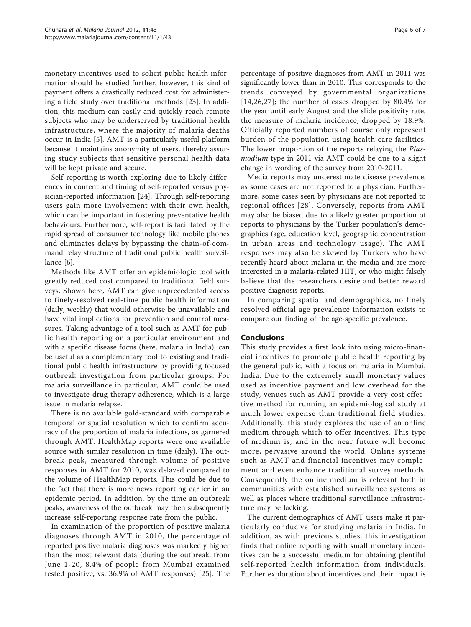monetary incentives used to solicit public health information should be studied further, however, this kind of payment offers a drastically reduced cost for administering a field study over traditional methods [\[23](#page-6-0)]. In addition, this medium can easily and quickly reach remote subjects who may be underserved by traditional health infrastructure, where the majority of malaria deaths occur in India [\[5](#page-6-0)]. AMT is a particularly useful platform because it maintains anonymity of users, thereby assuring study subjects that sensitive personal health data will be kept private and secure.

Self-reporting is worth exploring due to likely differences in content and timing of self-reported versus physician-reported information [\[24\]](#page-6-0). Through self-reporting users gain more involvement with their own health, which can be important in fostering preventative health behaviours. Furthermore, self-report is facilitated by the rapid spread of consumer technology like mobile phones and eliminates delays by bypassing the chain-of-command relay structure of traditional public health surveillance [\[6](#page-6-0)].

Methods like AMT offer an epidemiologic tool with greatly reduced cost compared to traditional field surveys. Shown here, AMT can give unprecedented access to finely-resolved real-time public health information (daily, weekly) that would otherwise be unavailable and have vital implications for prevention and control measures. Taking advantage of a tool such as AMT for public health reporting on a particular environment and with a specific disease focus (here, malaria in India), can be useful as a complementary tool to existing and traditional public health infrastructure by providing focused outbreak investigation from particular groups. For malaria surveillance in particular, AMT could be used to investigate drug therapy adherence, which is a large issue in malaria relapse.

There is no available gold-standard with comparable temporal or spatial resolution which to confirm accuracy of the proportion of malaria infections, as garnered through AMT. HealthMap reports were one available source with similar resolution in time (daily). The outbreak peak, measured through volume of positive responses in AMT for 2010, was delayed compared to the volume of HealthMap reports. This could be due to the fact that there is more news reporting earlier in an epidemic period. In addition, by the time an outbreak peaks, awareness of the outbreak may then subsequently increase self-reporting response rate from the public.

In examination of the proportion of positive malaria diagnoses through AMT in 2010, the percentage of reported positive malaria diagnoses was markedly higher than the most relevant data (during the outbreak, from June 1-20, 8.4% of people from Mumbai examined tested positive, vs. 36.9% of AMT responses) [[25](#page-6-0)]. The

percentage of positive diagnoses from AMT in 2011 was significantly lower than in 2010. This corresponds to the trends conveyed by governmental organizations [[14](#page-6-0),[26](#page-6-0),[27\]](#page-6-0); the number of cases dropped by 80.4% for the year until early August and the slide positivity rate, the measure of malaria incidence, dropped by 18.9%. Officially reported numbers of course only represent burden of the population using health care facilities. The lower proportion of the reports relaying the *Plas*modium type in 2011 via AMT could be due to a slight change in wording of the survey from 2010-2011.

Media reports may underestimate disease prevalence, as some cases are not reported to a physician. Furthermore, some cases seen by physicians are not reported to regional offices [[28\]](#page-6-0). Conversely, reports from AMT may also be biased due to a likely greater proportion of reports to physicians by the Turker population's demographics (age, education level, geographic concentration in urban areas and technology usage). The AMT responses may also be skewed by Turkers who have recently heard about malaria in the media and are more interested in a malaria-related HIT, or who might falsely believe that the researchers desire and better reward positive diagnosis reports.

In comparing spatial and demographics, no finely resolved official age prevalence information exists to compare our finding of the age-specific prevalence.

# Conclusions

This study provides a first look into using micro-financial incentives to promote public health reporting by the general public, with a focus on malaria in Mumbai, India. Due to the extremely small monetary values used as incentive payment and low overhead for the study, venues such as AMT provide a very cost effective method for running an epidemiological study at much lower expense than traditional field studies. Additionally, this study explores the use of an online medium through which to offer incentives. This type of medium is, and in the near future will become more, pervasive around the world. Online systems such as AMT and financial incentives may complement and even enhance traditional survey methods. Consequently the online medium is relevant both in communities with established surveillance systems as well as places where traditional surveillance infrastructure may be lacking.

The current demographics of AMT users make it particularly conducive for studying malaria in India. In addition, as with previous studies, this investigation finds that online reporting with small monetary incentives can be a successful medium for obtaining plentiful self-reported health information from individuals. Further exploration about incentives and their impact is